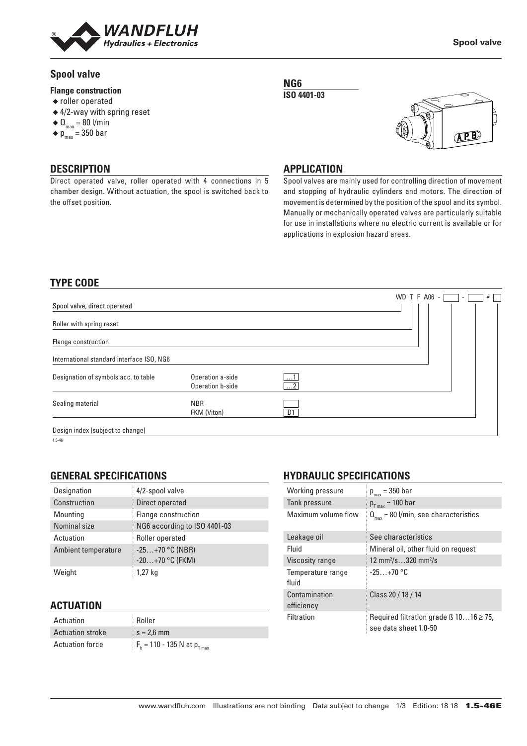

Direct operated valve, roller operated with 4 connections in 5 chamber design. Without actuation, the spool is switched back to

## **Spool valve**

#### **Flange construction**

- ◆ roller operated
- ◆ 4/2-way with spring reset
- $\triangleleft \mathbf{Q}_{\text{max}} = 80$  l/min
- $\bullet$  p<sub>max</sub> = 350 bar

**DESCRIPTION**

the offset position.

#### **Spool valve**

# **APPLICATION**

**NG6 ISO 4401-03**

Spool valves are mainly used for controlling direction of movement and stopping of hydraulic cylinders and motors. The direction of movement is determined by the position of the spool and its symbol. Manually or mechanically operated valves are particularly suitable for use in installations where no electric current is available or for applications in explosion hazard areas.

## **TYPE CODE**

|                                           |                                      |                        | WD T F A06 -<br>#<br>$\overline{\phantom{a}}$ |  |
|-------------------------------------------|--------------------------------------|------------------------|-----------------------------------------------|--|
| Spool valve, direct operated              |                                      |                        |                                               |  |
| Roller with spring reset                  |                                      |                        |                                               |  |
| Flange construction                       |                                      |                        |                                               |  |
| International standard interface ISO, NG6 |                                      |                        |                                               |  |
| Designation of symbols acc. to table      | Operation a-side<br>Operation b-side | <u> L</u><br>$\dots$ 2 |                                               |  |
| Sealing material                          | <b>NBR</b><br>FKM (Viton)            | D <sub>1</sub>         |                                               |  |
| Design index (subject to change)          |                                      |                        |                                               |  |

 $1.5 - 46$ 

## **GENERAL SPECIFICATIONS**

| Designation         | 4/2-spool valve              |
|---------------------|------------------------------|
| Construction        | Direct operated              |
| Mounting            | Flange construction          |
| Nominal size        | NG6 according to ISO 4401-03 |
| Actuation           | Roller operated              |
| Ambient temperature | $-25+70$ °C (NBR)            |
|                     | $-20+70$ °C (FKM)            |
| Weight              | 1,27 kg                      |

## **ACTUATION**

| Actuation               | : Roller                          |
|-------------------------|-----------------------------------|
| <b>Actuation stroke</b> | $s = 2.6$ mm                      |
| <b>Actuation force</b>  | $F_h = 110 - 135$ N at $p_{Tmax}$ |

## **HYDRAULIC SPECIFICATIONS**

| Working pressure            | $p_{max}$ = 350 bar                                                        |
|-----------------------------|----------------------------------------------------------------------------|
| Tank pressure               | $p_{T_{max}} = 100$ bar                                                    |
| Maximum volume flow         | $Q_{\text{max}}$ = 80 l/min, see characteristics                           |
| Leakage oil                 | See characteristics                                                        |
| Fluid                       | Mineral oil, other fluid on request                                        |
| Viscosity range             | 12 mm <sup>2</sup> /s320 mm <sup>2</sup> /s                                |
| Temperature range<br>fluid  | $-25+70$ °C                                                                |
| Contamination<br>efficiency | Class 20 / 18 / 14                                                         |
| Filtration                  | Required filtration grade $\beta$ 1016 $\geq$ 75,<br>see data sheet 1.0-50 |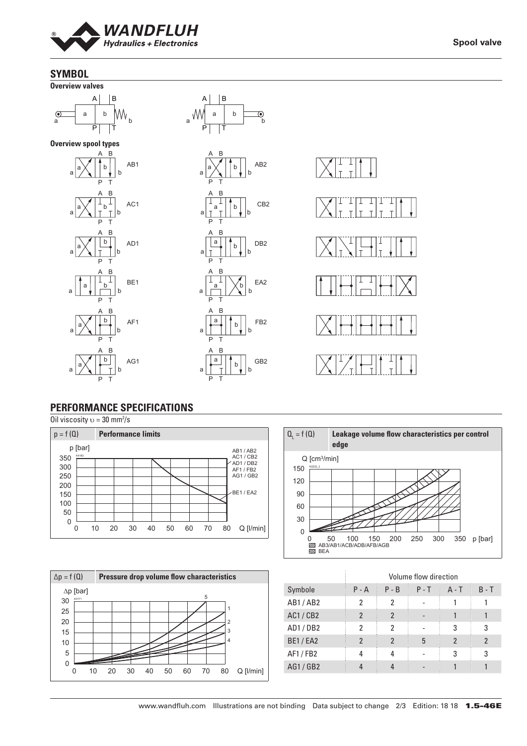

## **SYMBOL**



## **PERFORMANCE SPECIFICATIONS**

Oil viscosity  $v = 30$  mm<sup>2</sup>/s







|                |               |                | Volume flow direction |                |                |
|----------------|---------------|----------------|-----------------------|----------------|----------------|
| Symbole        | $P - A$       | $P - B$        | $P - T$               | $A - T$        | $B - T$        |
| AB1/AB2        | $\mathcal{P}$ | 2              |                       |                |                |
| <b>AC1/CB2</b> | 2             | 2              |                       |                |                |
| AD1/DB2        | 2             | 2              |                       | 3              | 3              |
| <b>BE1/EA2</b> | 2             | $\mathfrak{p}$ | 5                     | $\mathfrak{p}$ | $\mathfrak{p}$ |
| AF1 / FB2      | 4             |                |                       | 3              | 3              |
| AG1/GB2        |               |                |                       |                |                |